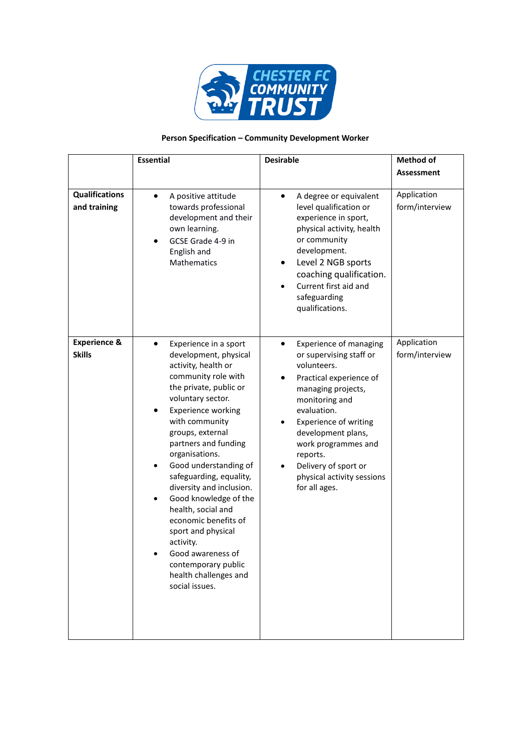

## **Person Specification – Community Development Worker**

|                                          | <b>Essential</b>                                                                                                                                                                                                                                                                                                                                                                                                                                                                                                                                                                 | <b>Desirable</b>                                                                                                                                                                                                                                                                                                                                         | <b>Method of</b>              |
|------------------------------------------|----------------------------------------------------------------------------------------------------------------------------------------------------------------------------------------------------------------------------------------------------------------------------------------------------------------------------------------------------------------------------------------------------------------------------------------------------------------------------------------------------------------------------------------------------------------------------------|----------------------------------------------------------------------------------------------------------------------------------------------------------------------------------------------------------------------------------------------------------------------------------------------------------------------------------------------------------|-------------------------------|
|                                          |                                                                                                                                                                                                                                                                                                                                                                                                                                                                                                                                                                                  |                                                                                                                                                                                                                                                                                                                                                          | <b>Assessment</b>             |
| <b>Qualifications</b><br>and training    | A positive attitude<br>$\bullet$<br>towards professional<br>development and their<br>own learning.<br>GCSE Grade 4-9 in<br>English and<br>Mathematics                                                                                                                                                                                                                                                                                                                                                                                                                            | A degree or equivalent<br>٠<br>level qualification or<br>experience in sport,<br>physical activity, health<br>or community<br>development.<br>Level 2 NGB sports<br>$\bullet$<br>coaching qualification.<br>Current first aid and<br>safeguarding<br>qualifications.                                                                                     | Application<br>form/interview |
| <b>Experience &amp;</b><br><b>Skills</b> | Experience in a sport<br>$\bullet$<br>development, physical<br>activity, health or<br>community role with<br>the private, public or<br>voluntary sector.<br><b>Experience working</b><br>with community<br>groups, external<br>partners and funding<br>organisations.<br>Good understanding of<br>$\bullet$<br>safeguarding, equality,<br>diversity and inclusion.<br>Good knowledge of the<br>$\bullet$<br>health, social and<br>economic benefits of<br>sport and physical<br>activity.<br>Good awareness of<br>contemporary public<br>health challenges and<br>social issues. | <b>Experience of managing</b><br>$\bullet$<br>or supervising staff or<br>volunteers.<br>Practical experience of<br>managing projects,<br>monitoring and<br>evaluation.<br><b>Experience of writing</b><br>٠<br>development plans,<br>work programmes and<br>reports.<br>Delivery of sport or<br>$\bullet$<br>physical activity sessions<br>for all ages. | Application<br>form/interview |